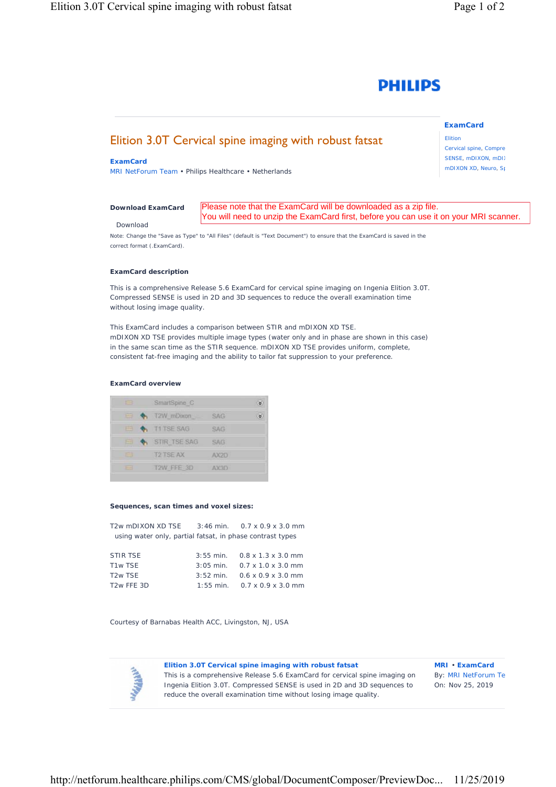

# Elition 3.0T Cervical spine imaging with robust fatsat

### **ExamCard**

MRI NetForum Team • Philips Healthcare • Netherlands

#### *[Download ExamCard](https://www.philips.com/c-dam/b2bhc/master/sites/netforum/zips/cervical-with-t2-contrast-r56.zip)*

#### Download

Please note that the ExamCard will be downloaded as a zip file. You will need to unzip the ExamCard first, before you can use it on your MRI scanner.

Note: Change the "Save as Type" to "All Files" (default is "Text Document") to ensure that the ExamCard is saved in the correct format (.ExamCard).

#### **ExamCard description**

This is a comprehensive Release 5.6 ExamCard for cervical spine imaging on Ingenia Elition 3.0T. Compressed SENSE is used in 2D and 3D sequences to reduce the overall examination time without losing image quality.

This ExamCard includes a comparison between STIR and mDIXON XD TSE. mDIXON XD TSE provides multiple image types (water only and in phase are shown in this case) in the same scan time as the STIR sequence. mDIXON XD TSE provides uniform, complete, consistent fat-free imaging and the ability to tailor fat suppression to your preference.

#### **ExamCard overview**

| 曲  | SmartSpine C         |            |  |
|----|----------------------|------------|--|
| ⊟  | $\bullet$ T2W_mDixon | SAG.       |  |
| 囲  | <b>T1TSE SAG</b>     | <b>SAG</b> |  |
| EB | STIR TSE SAG         | <b>SAG</b> |  |
| 曲  | <b>T2 TSE AX</b>     | AX2D       |  |
| ٣  | T2W FFE 3D           | AX3D       |  |

#### **Sequences, scan times and voxel sizes:**

| T2w mDIXON XD TSE $3:46$ min. 0.7 x 0.9 x 3.0 mm          |  |                                            |  |  |
|-----------------------------------------------------------|--|--------------------------------------------|--|--|
| using water only, partial fatsat, in phase contrast types |  |                                            |  |  |
|                                                           |  |                                            |  |  |
| STIR TSE                                                  |  | $3:55$ min. $0.8 \times 1.3 \times 3.0$ mm |  |  |
| T <sub>1w</sub> T <sub>SE</sub>                           |  | $3:05$ min. $0.7 \times 1.0 \times 3.0$ mm |  |  |
| T <sub>2</sub> w TSF                                      |  | $3:52$ min. $0.6 \times 0.9 \times 3.0$ mm |  |  |
| T <sub>2</sub> w FFE 3D                                   |  | 1:55 min. $0.7 \times 0.9 \times 3.0$ mm   |  |  |

Courtesy of Barnabas Health ACC, Livingston, NJ, USA



**Elition 3.0T Cervical spine imaging with robust fatsat**  This is a comprehensive Release 5.6 ExamCard for cervical spine imaging on

Ingenia Elition 3.0T. Compressed SENSE is used in 2D and 3D sequences to reduce the overall examination time without losing image quality.

**MRI** • **ExamCard** By: MRI NetForum Te On: Nov 25, 2019

http://netforum.healthcare.philips.com/CMS/global/DocumentComposer/PreviewDoc... 11/25/2019

## **ExamCard**

Elition Cervical spine, Compre SENSE, mDIXON, mDIX mDIXON XD, Neuro, Sp